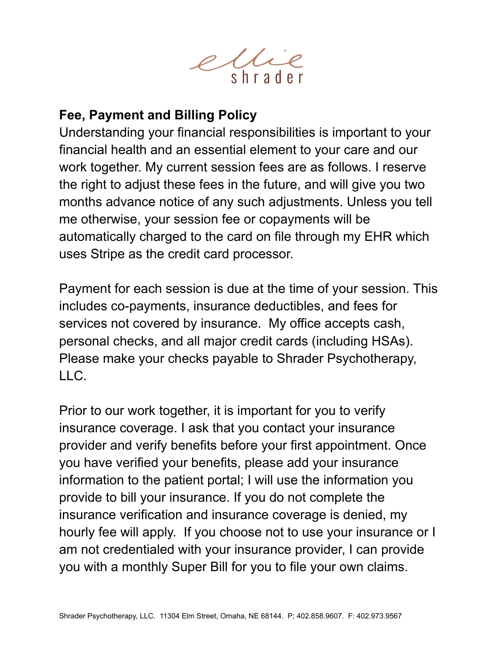

## **Fee, Payment and Billing Policy**

Understanding your financial responsibilities is important to your financial health and an essential element to your care and our work together. My current session fees are as follows. I reserve the right to adjust these fees in the future, and will give you two months advance notice of any such adjustments. Unless you tell me otherwise, your session fee or copayments will be automatically charged to the card on file through my EHR which uses Stripe as the credit card processor.

Payment for each session is due at the time of your session. This includes co-payments, insurance deductibles, and fees for services not covered by insurance. My office accepts cash, personal checks, and all major credit cards (including HSAs). Please make your checks payable to Shrader Psychotherapy, LLC.

Prior to our work together, it is important for you to verify insurance coverage. I ask that you contact your insurance provider and verify benefits before your first appointment. Once you have verified your benefits, please add your insurance information to the patient portal; I will use the information you provide to bill your insurance. If you do not complete the insurance verification and insurance coverage is denied, my hourly fee will apply. If you choose not to use your insurance or I am not credentialed with your insurance provider, I can provide you with a monthly Super Bill for you to file your own claims.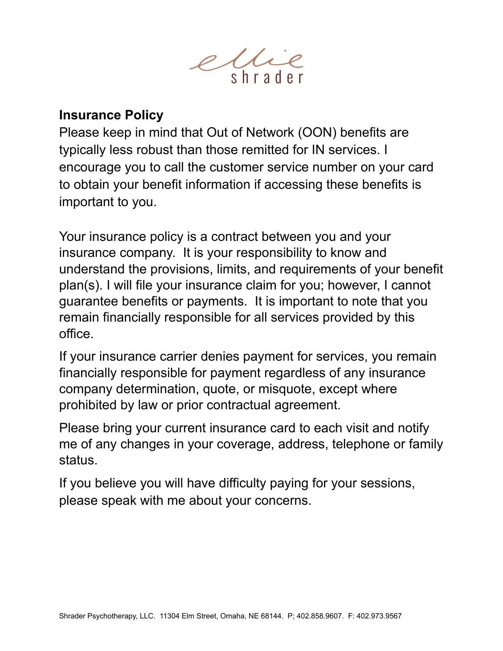

## **Insurance Policy**

Please keep in mind that Out of Network (OON) benefits are typically less robust than those remitted for IN services. I encourage you to call the customer service number on your card to obtain your benefit information if accessing these benefits is important to you.

Your insurance policy is a contract between you and your insurance company. It is your responsibility to know and understand the provisions, limits, and requirements of your benefit plan(s). I will file your insurance claim for you; however, I cannot guarantee benefits or payments. It is important to note that you remain financially responsible for all services provided by this office.

If your insurance carrier denies payment for services, you remain financially responsible for payment regardless of any insurance company determination, quote, or misquote, except where prohibited by law or prior contractual agreement.

Please bring your current insurance card to each visit and notify me of any changes in your coverage, address, telephone or family status.

If you believe you will have difficulty paying for your sessions, please speak with me about your concerns.